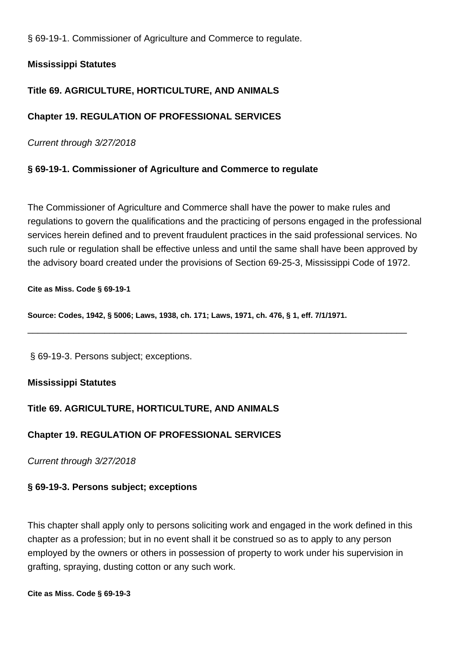§ 69-19-1. Commissioner of Agriculture and Commerce to regulate.

# **Mississippi Statutes**

# **Title 69. AGRICULTURE, HORTICULTURE, AND ANIMALS**

# **Chapter 19. REGULATION OF PROFESSIONAL SERVICES**

Current through 3/27/2018

# **§ 69-19-1. Commissioner of Agriculture and Commerce to regulate**

The Commissioner of Agriculture and Commerce shall have the power to make rules and regulations to govern the qualifications and the practicing of persons engaged in the professional services herein defined and to prevent fraudulent practices in the said professional services. No such rule or regulation shall be effective unless and until the same shall have been approved by the advisory board created under the provisions of Section 69-25-3, Mississippi Code of 1972.

\_\_\_\_\_\_\_\_\_\_\_\_\_\_\_\_\_\_\_\_\_\_\_\_\_\_\_\_\_\_\_\_\_\_\_\_\_\_\_\_\_\_\_\_\_\_\_\_\_\_\_\_\_\_\_\_\_\_\_\_\_\_\_\_\_\_\_\_\_\_\_\_\_\_

### **Cite as Miss. Code § 69-19-1**

**Source: Codes, 1942, § 5006; Laws, 1938, ch. 171; Laws, 1971, ch. 476, § 1, eff. 7/1/1971.**

§ 69-19-3. Persons subject; exceptions.

### **Mississippi Statutes**

# **Title 69. AGRICULTURE, HORTICULTURE, AND ANIMALS**

# **Chapter 19. REGULATION OF PROFESSIONAL SERVICES**

Current through 3/27/2018

# **§ 69-19-3. Persons subject; exceptions**

This chapter shall apply only to persons soliciting work and engaged in the work defined in this chapter as a profession; but in no event shall it be construed so as to apply to any person employed by the owners or others in possession of property to work under his supervision in grafting, spraying, dusting cotton or any such work.

**Cite as Miss. Code § 69-19-3**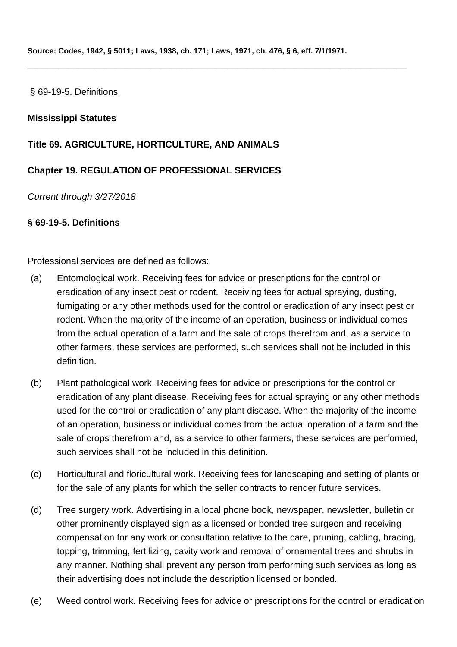\_\_\_\_\_\_\_\_\_\_\_\_\_\_\_\_\_\_\_\_\_\_\_\_\_\_\_\_\_\_\_\_\_\_\_\_\_\_\_\_\_\_\_\_\_\_\_\_\_\_\_\_\_\_\_\_\_\_\_\_\_\_\_\_\_\_\_\_\_\_\_\_\_\_

§ 69-19-5. Definitions.

### **Mississippi Statutes**

### **Title 69. AGRICULTURE, HORTICULTURE, AND ANIMALS**

# **Chapter 19. REGULATION OF PROFESSIONAL SERVICES**

Current through 3/27/2018

### **§ 69-19-5. Definitions**

Professional services are defined as follows:

- (a) Entomological work. Receiving fees for advice or prescriptions for the control or eradication of any insect pest or rodent. Receiving fees for actual spraying, dusting, fumigating or any other methods used for the control or eradication of any insect pest or rodent. When the majority of the income of an operation, business or individual comes from the actual operation of a farm and the sale of crops therefrom and, as a service to other farmers, these services are performed, such services shall not be included in this definition.
- (b) Plant pathological work. Receiving fees for advice or prescriptions for the control or eradication of any plant disease. Receiving fees for actual spraying or any other methods used for the control or eradication of any plant disease. When the majority of the income of an operation, business or individual comes from the actual operation of a farm and the sale of crops therefrom and, as a service to other farmers, these services are performed, such services shall not be included in this definition.
- (c) Horticultural and floricultural work. Receiving fees for landscaping and setting of plants or for the sale of any plants for which the seller contracts to render future services.
- (d) Tree surgery work. Advertising in a local phone book, newspaper, newsletter, bulletin or other prominently displayed sign as a licensed or bonded tree surgeon and receiving compensation for any work or consultation relative to the care, pruning, cabling, bracing, topping, trimming, fertilizing, cavity work and removal of ornamental trees and shrubs in any manner. Nothing shall prevent any person from performing such services as long as their advertising does not include the description licensed or bonded.
- (e) Weed control work. Receiving fees for advice or prescriptions for the control or eradication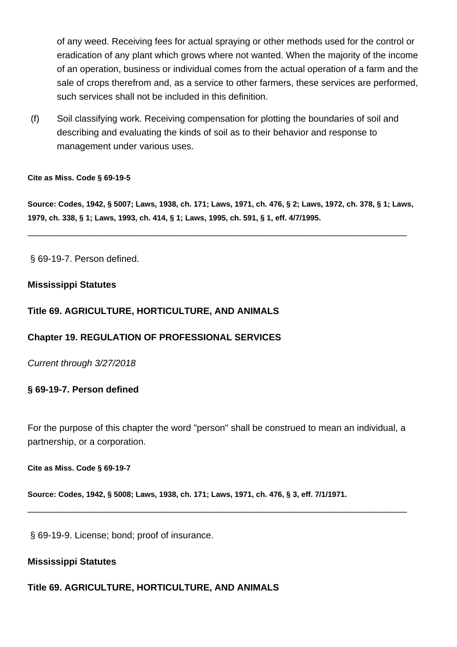of any weed. Receiving fees for actual spraying or other methods used for the control or eradication of any plant which grows where not wanted. When the majority of the income of an operation, business or individual comes from the actual operation of a farm and the sale of crops therefrom and, as a service to other farmers, these services are performed, such services shall not be included in this definition.

(f) Soil classifying work. Receiving compensation for plotting the boundaries of soil and describing and evaluating the kinds of soil as to their behavior and response to management under various uses.

#### **Cite as Miss. Code § 69-19-5**

**Source: Codes, 1942, § 5007; Laws, 1938, ch. 171; Laws, 1971, ch. 476, § 2; Laws, 1972, ch. 378, § 1; Laws, 1979, ch. 338, § 1; Laws, 1993, ch. 414, § 1; Laws, 1995, ch. 591, § 1, eff. 4/7/1995.**

\_\_\_\_\_\_\_\_\_\_\_\_\_\_\_\_\_\_\_\_\_\_\_\_\_\_\_\_\_\_\_\_\_\_\_\_\_\_\_\_\_\_\_\_\_\_\_\_\_\_\_\_\_\_\_\_\_\_\_\_\_\_\_\_\_\_\_\_\_\_\_\_\_\_

§ 69-19-7. Person defined.

### **Mississippi Statutes**

### **Title 69. AGRICULTURE, HORTICULTURE, AND ANIMALS**

#### **Chapter 19. REGULATION OF PROFESSIONAL SERVICES**

Current through 3/27/2018

#### **§ 69-19-7. Person defined**

For the purpose of this chapter the word "person" shall be construed to mean an individual, a partnership, or a corporation.

\_\_\_\_\_\_\_\_\_\_\_\_\_\_\_\_\_\_\_\_\_\_\_\_\_\_\_\_\_\_\_\_\_\_\_\_\_\_\_\_\_\_\_\_\_\_\_\_\_\_\_\_\_\_\_\_\_\_\_\_\_\_\_\_\_\_\_\_\_\_\_\_\_\_

**Cite as Miss. Code § 69-19-7**

**Source: Codes, 1942, § 5008; Laws, 1938, ch. 171; Laws, 1971, ch. 476, § 3, eff. 7/1/1971.**

§ 69-19-9. License; bond; proof of insurance.

#### **Mississippi Statutes**

### **Title 69. AGRICULTURE, HORTICULTURE, AND ANIMALS**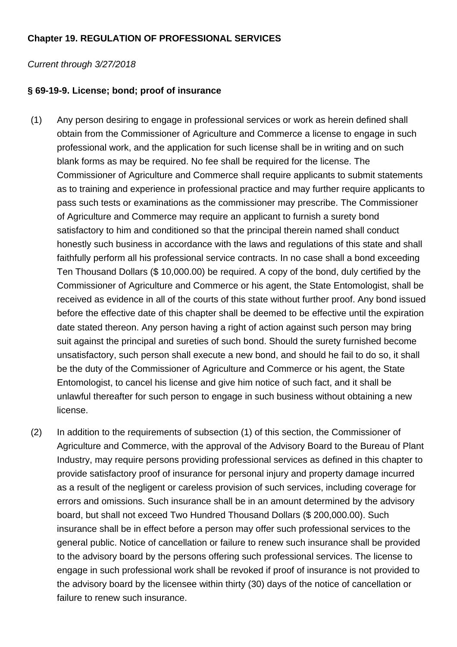# **Chapter 19. REGULATION OF PROFESSIONAL SERVICES**

### Current through 3/27/2018

# **§ 69-19-9. License; bond; proof of insurance**

- (1) Any person desiring to engage in professional services or work as herein defined shall obtain from the Commissioner of Agriculture and Commerce a license to engage in such professional work, and the application for such license shall be in writing and on such blank forms as may be required. No fee shall be required for the license. The Commissioner of Agriculture and Commerce shall require applicants to submit statements as to training and experience in professional practice and may further require applicants to pass such tests or examinations as the commissioner may prescribe. The Commissioner of Agriculture and Commerce may require an applicant to furnish a surety bond satisfactory to him and conditioned so that the principal therein named shall conduct honestly such business in accordance with the laws and regulations of this state and shall faithfully perform all his professional service contracts. In no case shall a bond exceeding Ten Thousand Dollars (\$ 10,000.00) be required. A copy of the bond, duly certified by the Commissioner of Agriculture and Commerce or his agent, the State Entomologist, shall be received as evidence in all of the courts of this state without further proof. Any bond issued before the effective date of this chapter shall be deemed to be effective until the expiration date stated thereon. Any person having a right of action against such person may bring suit against the principal and sureties of such bond. Should the surety furnished become unsatisfactory, such person shall execute a new bond, and should he fail to do so, it shall be the duty of the Commissioner of Agriculture and Commerce or his agent, the State Entomologist, to cancel his license and give him notice of such fact, and it shall be unlawful thereafter for such person to engage in such business without obtaining a new license.
- (2) In addition to the requirements of subsection (1) of this section, the Commissioner of Agriculture and Commerce, with the approval of the Advisory Board to the Bureau of Plant Industry, may require persons providing professional services as defined in this chapter to provide satisfactory proof of insurance for personal injury and property damage incurred as a result of the negligent or careless provision of such services, including coverage for errors and omissions. Such insurance shall be in an amount determined by the advisory board, but shall not exceed Two Hundred Thousand Dollars (\$ 200,000.00). Such insurance shall be in effect before a person may offer such professional services to the general public. Notice of cancellation or failure to renew such insurance shall be provided to the advisory board by the persons offering such professional services. The license to engage in such professional work shall be revoked if proof of insurance is not provided to the advisory board by the licensee within thirty (30) days of the notice of cancellation or failure to renew such insurance.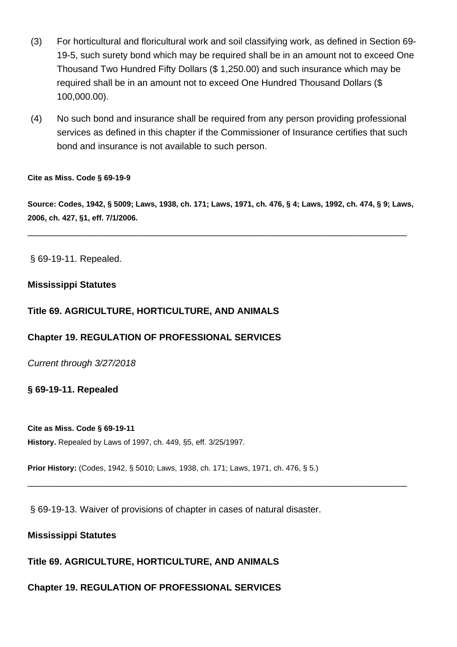- (3) For horticultural and floricultural work and soil classifying work, as defined in Section 69- 19-5, such surety bond which may be required shall be in an amount not to exceed One Thousand Two Hundred Fifty Dollars (\$ 1,250.00) and such insurance which may be required shall be in an amount not to exceed One Hundred Thousand Dollars (\$ 100,000.00).
- (4) No such bond and insurance shall be required from any person providing professional services as defined in this chapter if the Commissioner of Insurance certifies that such bond and insurance is not available to such person.

**Cite as Miss. Code § 69-19-9**

**Source: Codes, 1942, § 5009; Laws, 1938, ch. 171; Laws, 1971, ch. 476, § 4; Laws, 1992, ch. 474, § 9; Laws, 2006, ch. 427, §1, eff. 7/1/2006.**

\_\_\_\_\_\_\_\_\_\_\_\_\_\_\_\_\_\_\_\_\_\_\_\_\_\_\_\_\_\_\_\_\_\_\_\_\_\_\_\_\_\_\_\_\_\_\_\_\_\_\_\_\_\_\_\_\_\_\_\_\_\_\_\_\_\_\_\_\_\_\_\_\_\_

§ 69-19-11. Repealed.

### **Mississippi Statutes**

### **Title 69. AGRICULTURE, HORTICULTURE, AND ANIMALS**

#### **Chapter 19. REGULATION OF PROFESSIONAL SERVICES**

Current through 3/27/2018

#### **§ 69-19-11. Repealed**

#### **Cite as Miss. Code § 69-19-11**

**History.** Repealed by Laws of 1997, ch. 449, §5, eff. 3/25/1997.

**Prior History:** (Codes, 1942, § 5010; Laws, 1938, ch. 171; Laws, 1971, ch. 476, § 5.)

\_\_\_\_\_\_\_\_\_\_\_\_\_\_\_\_\_\_\_\_\_\_\_\_\_\_\_\_\_\_\_\_\_\_\_\_\_\_\_\_\_\_\_\_\_\_\_\_\_\_\_\_\_\_\_\_\_\_\_\_\_\_\_\_\_\_\_\_\_\_\_\_\_\_

§ 69-19-13. Waiver of provisions of chapter in cases of natural disaster.

#### **Mississippi Statutes**

**Title 69. AGRICULTURE, HORTICULTURE, AND ANIMALS**

**Chapter 19. REGULATION OF PROFESSIONAL SERVICES**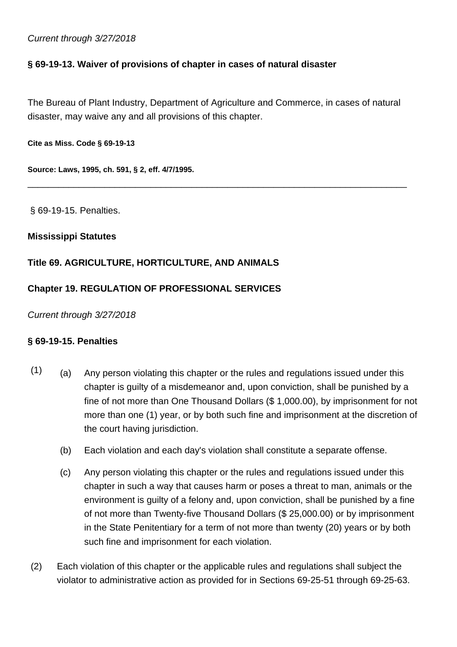### Current through 3/27/2018

# **§ 69-19-13. Waiver of provisions of chapter in cases of natural disaster**

The Bureau of Plant Industry, Department of Agriculture and Commerce, in cases of natural disaster, may waive any and all provisions of this chapter.

\_\_\_\_\_\_\_\_\_\_\_\_\_\_\_\_\_\_\_\_\_\_\_\_\_\_\_\_\_\_\_\_\_\_\_\_\_\_\_\_\_\_\_\_\_\_\_\_\_\_\_\_\_\_\_\_\_\_\_\_\_\_\_\_\_\_\_\_\_\_\_\_\_\_

**Cite as Miss. Code § 69-19-13**

**Source: Laws, 1995, ch. 591, § 2, eff. 4/7/1995.**

§ 69-19-15. Penalties.

### **Mississippi Statutes**

# **Title 69. AGRICULTURE, HORTICULTURE, AND ANIMALS**

# **Chapter 19. REGULATION OF PROFESSIONAL SERVICES**

Current through 3/27/2018

### **§ 69-19-15. Penalties**

- $(1)$  (a) Any person violating this chapter or the rules and regulations issued under this chapter is guilty of a misdemeanor and, upon conviction, shall be punished by a fine of not more than One Thousand Dollars (\$ 1,000.00), by imprisonment for not more than one (1) year, or by both such fine and imprisonment at the discretion of the court having jurisdiction.
	- (b) Each violation and each day's violation shall constitute a separate offense.
	- (c) Any person violating this chapter or the rules and regulations issued under this chapter in such a way that causes harm or poses a threat to man, animals or the environment is guilty of a felony and, upon conviction, shall be punished by a fine of not more than Twenty-five Thousand Dollars (\$ 25,000.00) or by imprisonment in the State Penitentiary for a term of not more than twenty (20) years or by both such fine and imprisonment for each violation.
- (2) Each violation of this chapter or the applicable rules and regulations shall subject the violator to administrative action as provided for in Sections 69-25-51 through 69-25-63.